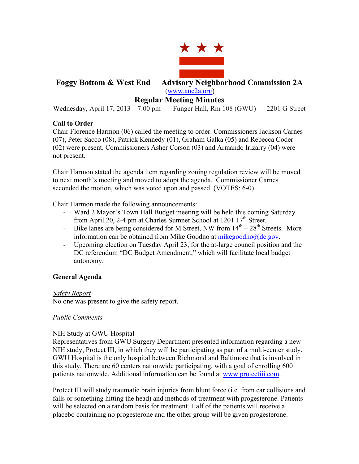

# **Foggy Bottom & West End Advisory Neighborhood Commission 2A** (www.anc2a.org)

# **Regular Meeting Minutes**

Wednesday, April 17, 2013 7:00 pm Funger Hall, Rm 108 (GWU) 2201 G Street

# **Call to Order**

Chair Florence Harmon (06) called the meeting to order. Commissioners Jackson Carnes (07), Peter Sacco (08), Patrick Kennedy (01), Graham Galka (05) and Rebecca Coder (02) were present. Commissioners Asher Corson (03) and Armando Irizarry (04) were not present.

Chair Harmon stated the agenda item regarding zoning regulation review will be moved to next month's meeting and moved to adopt the agenda. Commissioner Carnes seconded the motion, which was voted upon and passed. (VOTES: 6-0)

Chair Harmon made the following announcements:

- Ward 2 Mayor's Town Hall Budget meeting will be held this coming Saturday from April 20, 2-4 pm at Charles Sumner School at  $1201 \frac{17}{\text{th}}$  Street.
- Bike lanes are being considered for M Street, NW from  $14<sup>th</sup> 28<sup>th</sup>$  Streets. More information can be obtained from Mike Goodno at mikegoodno $@dc.gov$ .
- Upcoming election on Tuesday April 23, for the at-large council position and the DC referendum "DC Budget Amendment," which will facilitate local budget autonomy.

# **General Agenda**

# *Safety Report*

No one was present to give the safety report.

# *Public Comments*

# NIH Study at GWU Hospital

Representatives from GWU Surgery Department presented information regarding a new NIH study, Protect III, in which they will be participating as part of a multi-center study. GWU Hospital is the only hospital between Richmond and Baltimore that is involved in this study. There are 60 centers nationwide participating, with a goal of enrolling 600 patients nationwide. Additional information can be found at www.protectiii.com.

Protect III will study traumatic brain injuries from blunt force (i.e. from car collisions and falls or something hitting the head) and methods of treatment with progesterone. Patients will be selected on a random basis for treatment. Half of the patients will receive a placebo containing no progesterone and the other group will be given progesterone.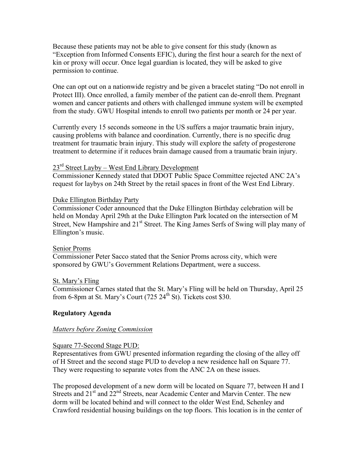Because these patients may not be able to give consent for this study (known as "Exception from Informed Consents EFIC), during the first hour a search for the next of kin or proxy will occur. Once legal guardian is located, they will be asked to give permission to continue.

One can opt out on a nationwide registry and be given a bracelet stating "Do not enroll in Protect III). Once enrolled, a family member of the patient can de-enroll them. Pregnant women and cancer patients and others with challenged immune system will be exempted from the study. GWU Hospital intends to enroll two patients per month or 24 per year.

Currently every 15 seconds someone in the US suffers a major traumatic brain injury, causing problems with balance and coordination. Currently, there is no specific drug treatment for traumatic brain injury. This study will explore the safety of progesterone treatment to determine if it reduces brain damage caused from a traumatic brain injury.

#### $23<sup>rd</sup>$  Street Layby – West End Library Development

Commissioner Kennedy stated that DDOT Public Space Committee rejected ANC 2A's request for laybys on 24th Street by the retail spaces in front of the West End Library.

#### Duke Ellington Birthday Party

Commissioner Coder announced that the Duke Ellington Birthday celebration will be held on Monday April 29th at the Duke Ellington Park located on the intersection of M Street, New Hampshire and 21<sup>st</sup> Street. The King James Serfs of Swing will play many of Ellington's music.

#### Senior Proms

Commissioner Peter Sacco stated that the Senior Proms across city, which were sponsored by GWU's Government Relations Department, were a success.

#### St. Mary's Fling

Commissioner Carnes stated that the St. Mary's Fling will be held on Thursday, April 25 from 6-8pm at St. Mary's Court (725  $24<sup>th</sup>$  St). Tickets cost \$30.

#### **Regulatory Agenda**

#### *Matters before Zoning Commission*

#### Square 77-Second Stage PUD:

Representatives from GWU presented information regarding the closing of the alley off of H Street and the second stage PUD to develop a new residence hall on Square 77. They were requesting to separate votes from the ANC 2A on these issues.

The proposed development of a new dorm will be located on Square 77, between H and I Streets and  $21<sup>st</sup>$  and  $22<sup>nd</sup>$  Streets, near Academic Center and Marvin Center. The new dorm will be located behind and will connect to the older West End, Schenley and Crawford residential housing buildings on the top floors. This location is in the center of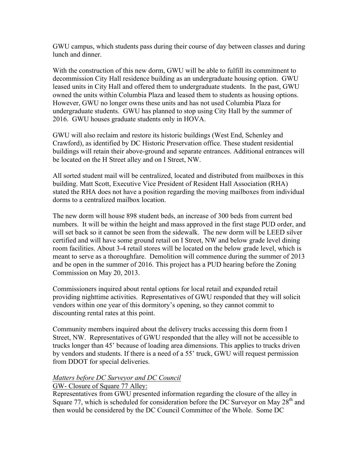GWU campus, which students pass during their course of day between classes and during lunch and dinner.

With the construction of this new dorm, GWU will be able to fulfill its commitment to decommission City Hall residence building as an undergraduate housing option. GWU leased units in City Hall and offered them to undergraduate students. In the past, GWU owned the units within Columbia Plaza and leased them to students as housing options. However, GWU no longer owns these units and has not used Columbia Plaza for undergraduate students. GWU has planned to stop using City Hall by the summer of 2016. GWU houses graduate students only in HOVA.

GWU will also reclaim and restore its historic buildings (West End, Schenley and Crawford), as identified by DC Historic Preservation office. These student residential buildings will retain their above-ground and separate entrances. Additional entrances will be located on the H Street alley and on I Street, NW.

All sorted student mail will be centralized, located and distributed from mailboxes in this building. Matt Scott, Executive Vice President of Resident Hall Association (RHA) stated the RHA does not have a position regarding the moving mailboxes from individual dorms to a centralized mailbox location.

The new dorm will house 898 student beds, an increase of 300 beds from current bed numbers. It will be within the height and mass approved in the first stage PUD order, and will set back so it cannot be seen from the sidewalk. The new dorm will be LEED silver certified and will have some ground retail on I Street, NW and below grade level dining room facilities. About 3-4 retail stores will be located on the below grade level, which is meant to serve as a thoroughfare. Demolition will commence during the summer of 2013 and be open in the summer of 2016. This project has a PUD hearing before the Zoning Commission on May 20, 2013.

Commissioners inquired about rental options for local retail and expanded retail providing nighttime activities. Representatives of GWU responded that they will solicit vendors within one year of this dormitory's opening, so they cannot commit to discounting rental rates at this point.

Community members inquired about the delivery trucks accessing this dorm from I Street, NW. Representatives of GWU responded that the alley will not be accessible to trucks longer than 45' because of loading area dimensions. This applies to trucks driven by vendors and students. If there is a need of a 55' truck, GWU will request permission from DDOT for special deliveries.

#### *Matters before DC Surveyor and DC Council*

# GW- Closure of Square 77 Alley:

Representatives from GWU presented information regarding the closure of the alley in Square 77, which is scheduled for consideration before the DC Surveyor on May  $28<sup>th</sup>$  and then would be considered by the DC Council Committee of the Whole. Some DC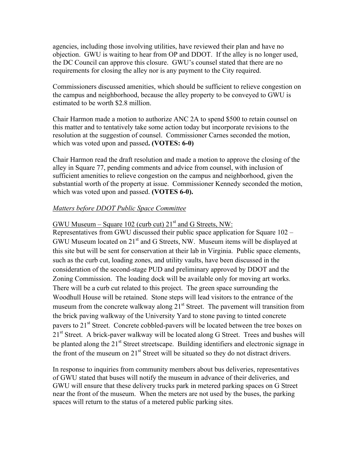agencies, including those involving utilities, have reviewed their plan and have no objection. GWU is waiting to hear from OP and DDOT. If the alley is no longer used, the DC Council can approve this closure. GWU's counsel stated that there are no requirements for closing the alley nor is any payment to the City required.

Commissioners discussed amenities, which should be sufficient to relieve congestion on the campus and neighborhood, because the alley property to be conveyed to GWU is estimated to be worth \$2.8 million.

Chair Harmon made a motion to authorize ANC 2A to spend \$500 to retain counsel on this matter and to tentatively take some action today but incorporate revisions to the resolution at the suggestion of counsel. Commissioner Carnes seconded the motion, which was voted upon and passed**. (VOTES: 6-0)** 

Chair Harmon read the draft resolution and made a motion to approve the closing of the alley in Square 77, pending comments and advice from counsel, with inclusion of sufficient amenities to relieve congestion on the campus and neighborhood, given the substantial worth of the property at issue. Commissioner Kennedy seconded the motion, which was voted upon and passed. **(VOTES 6-0).** 

# *Matters before DDOT Public Space Committee*

GWU Museum – Square 102 (curb cut)  $21<sup>st</sup>$  and G Streets, NW:

Representatives from GWU discussed their public space application for Square 102 – GWU Museum located on 21<sup>st</sup> and G Streets, NW. Museum items will be displayed at this site but will be sent for conservation at their lab in Virginia. Public space elements, such as the curb cut, loading zones, and utility vaults, have been discussed in the consideration of the second-stage PUD and preliminary approved by DDOT and the Zoning Commission. The loading dock will be available only for moving art works. There will be a curb cut related to this project. The green space surrounding the Woodhull House will be retained. Stone steps will lead visitors to the entrance of the museum from the concrete walkway along  $21<sup>st</sup>$  Street. The pavement will transition from the brick paving walkway of the University Yard to stone paving to tinted concrete pavers to 21<sup>st</sup> Street. Concrete cobbled-pavers will be located between the tree boxes on 21<sup>st</sup> Street. A brick-paver walkway will be located along G Street. Trees and bushes will be planted along the  $21<sup>st</sup>$  Street streetscape. Building identifiers and electronic signage in the front of the museum on 21<sup>st</sup> Street will be situated so they do not distract drivers.

In response to inquiries from community members about bus deliveries, representatives of GWU stated that buses will notify the museum in advance of their deliveries, and GWU will ensure that these delivery trucks park in metered parking spaces on G Street near the front of the museum. When the meters are not used by the buses, the parking spaces will return to the status of a metered public parking sites.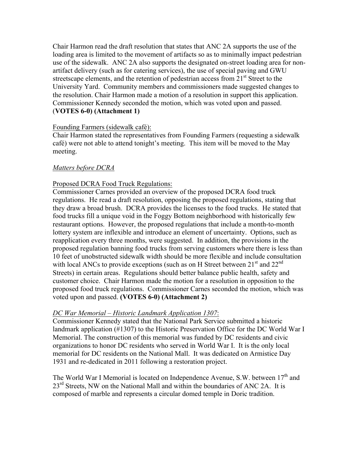Chair Harmon read the draft resolution that states that ANC 2A supports the use of the loading area is limited to the movement of artifacts so as to minimally impact pedestrian use of the sidewalk. ANC 2A also supports the designated on-street loading area for nonartifact delivery (such as for catering services), the use of special paving and GWU streetscape elements, and the retention of pedestrian access from  $21<sup>st</sup>$  Street to the University Yard. Community members and commissioners made suggested changes to the resolution. Chair Harmon made a motion of a resolution in support this application. Commissioner Kennedy seconded the motion, which was voted upon and passed. (**VOTES 6-0) (Attachment 1)**

#### Founding Farmers (sidewalk café):

Chair Harmon stated the representatives from Founding Farmers (requesting a sidewalk café) were not able to attend tonight's meeting. This item will be moved to the May meeting.

#### *Matters before DCRA*

# Proposed DCRA Food Truck Regulations:

Commissioner Carnes provided an overview of the proposed DCRA food truck regulations. He read a draft resolution, opposing the proposed regulations, stating that they draw a broad brush. DCRA provides the licenses to the food trucks. He stated that food trucks fill a unique void in the Foggy Bottom neighborhood with historically few restaurant options. However, the proposed regulations that include a month-to-month lottery system are inflexible and introduce an element of uncertainty. Options, such as reapplication every three months, were suggested. In addition, the provisions in the proposed regulation banning food trucks from serving customers where there is less than 10 feet of unobstructed sidewalk width should be more flexible and include consultation with local ANCs to provide exceptions (such as on H Street between  $21<sup>st</sup>$  and  $22<sup>nd</sup>$ Streets) in certain areas. Regulations should better balance public health, safety and customer choice. Chair Harmon made the motion for a resolution in opposition to the proposed food truck regulations. Commissioner Carnes seconded the motion, which was voted upon and passed. **(VOTES 6-0) (Attachment 2)**

# *DC War Memorial – Historic Landmark Application 1307*:

Commissioner Kennedy stated that the National Park Service submitted a historic landmark application (#1307) to the Historic Preservation Office for the DC World War I Memorial. The construction of this memorial was funded by DC residents and civic organizations to honor DC residents who served in World War I. It is the only local memorial for DC residents on the National Mall. It was dedicated on Armistice Day 1931 and re-dedicated in 2011 following a restoration project.

The World War I Memorial is located on Independence Avenue, S.W. between  $17<sup>th</sup>$  and 23<sup>rd</sup> Streets, NW on the National Mall and within the boundaries of ANC 2A. It is composed of marble and represents a circular domed temple in Doric tradition.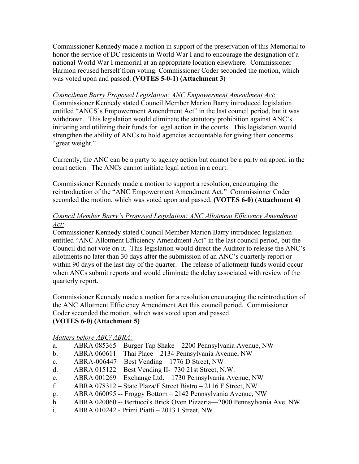Commissioner Kennedy made a motion in support of the preservation of this Memorial to honor the service of DC residents in World War I and to encourage the designation of a national World War I memorial at an appropriate location elsewhere. Commissioner Harmon recused herself from voting. Commissioner Coder seconded the motion, which was voted upon and passed. **(VOTES 5-0-1) (Attachment 3)**

#### *Councilman Barry Proposed Legislation: ANC Empowerment Amendment Act*:

Commissioner Kennedy stated Council Member Marion Barry introduced legislation entitled "ANCS's Empowerment Amendment Act" in the last council period, but it was withdrawn. This legislation would eliminate the statutory prohibition against ANC's initiating and utilizing their funds for legal action in the courts. This legislation would strengthen the ability of ANCs to hold agencies accountable for giving their concerns "great weight."

Currently, the ANC can be a party to agency action but cannot be a party on appeal in the court action. The ANCs cannot initiate legal action in a court.

Commissioner Kennedy made a motion to support a resolution, encouraging the reintroduction of the "ANC Empowerment Amendment Act." Commissioner Coder seconded the motion, which was voted upon and passed. **(VOTES 6-0) (Attachment 4)**

#### *Council Member Barry's Proposed Legislation: ANC Allotment Efficiency Amendment Act:*

Commissioner Kennedy stated Council Member Marion Barry introduced legislation entitled "ANC Allotment Efficiency Amendment Act" in the last council period, but the Council did not vote on it. This legislation would direct the Auditor to release the ANC's allotments no later than 30 days after the submission of an ANC's quarterly report or within 90 days of the last day of the quarter. The release of allotment funds would occur when ANCs submit reports and would eliminate the delay associated with review of the quarterly report.

Commissioner Kennedy made a motion for a resolution encouraging the reintroduction of the ANC Allotment Efficiency Amendment Act this council period. Commissioner Coder seconded the motion, which was voted upon and passed. **(VOTES 6-0) (Attachment 5)**

#### *Matters before ABC/ ABRA:*

- a. ABRA 085365 Burger Tap Shake 2200 Pennsylvania Avenue, NW
- b. ABRA 060611 Thai Place 2134 Pennsylvania Avenue, NW
- c.  $ABRA-006447 Best Vending 1776 D Street, NW$
- d. ABRA 015122 Best Vending II- 730 21st Street, N.W.
- e. ABRA 001269 Exchange Ltd. 1730 Pennsylvania Avenue, NW
- f. ABRA 078312 State Plaza/F Street Bistro 2116 F Street, NW
- g. ABRA 060095 -- Froggy Bottom 2142 Pennsylvania Avenue, NW
- h. ABRA 020060 -- Bertucci's Brick Oven Pizzeria—2000 Pennsylvania Ave. NW
- i. ABRA 010242 Primi Piatti 2013 I Street, NW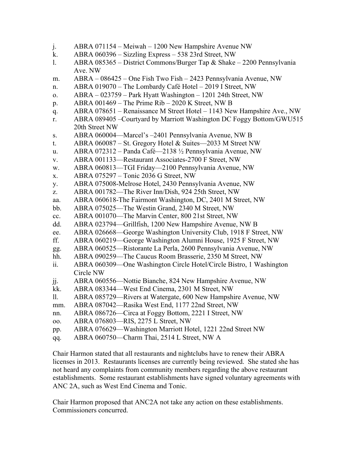- j. ABRA 071154 Meiwah 1200 New Hampshire Avenue NW
- k. ABRA 060396 Sizzling Express 538 23rd Street, NW
- l. ABRA 085365 District Commons/Burger Tap & Shake 2200 Pennsylvania Ave. NW
- m. ABRA 086425 One Fish Two Fish 2423 Pennsylvania Avenue, NW
- n. ABRA 019070 The Lombardy Café Hotel 2019 I Street, NW
- o. ABRA 023759 Park Hyatt Washington 1201 24th Street, NW
- p. ABRA 001469 The Prime Rib 2020 K Street, NW B
- q. ABRA 078651 Renaissance M Street Hotel 1143 New Hampshire Ave., NW
- r. ABRA 089405 –Courtyard by Marriott Washington DC Foggy Bottom/GWU515 20th Street NW
- s. ABRA 060004—Marcel's –2401 Pennsylvania Avenue, NW B
- t. ABRA 060087 St. Gregory Hotel & Suites—2033 M Street NW
- u. ABRA 072312 Panda Café—2138 ½ Pennsylvania Avenue, NW
- v. ABRA 001133—Restaurant Associates-2700 F Street, NW
- w. ABRA 060813—TGI Friday—2100 Pennsylvania Avenue, NW
- x. ABRA 075297 Tonic 2036 G Street, NW
- y. ABRA 075008-Melrose Hotel, 2430 Pennsylvania Avenue, NW
- z. ABRA 001782—The River Inn/Dish, 924 25th Street, NW
- aa. ABRA 060618-The Fairmont Washington, DC, 2401 M Street, NW
- bb. ABRA 075025—The Westin Grand, 2340 M Street, NW
- cc. ABRA 001070—The Marvin Center, 800 21st Street, NW
- dd. ABRA 023794—Grillfish, 1200 New Hampshire Avenue, NW B
- ee. ABRA 026668—George Washington University Club, 1918 F Street, NW
- ff. ABRA 060219—George Washington Alumni House, 1925 F Street, NW
- gg. ABRA 060525—Ristorante La Perla, 2600 Pennsylvania Avenue, NW
- hh. ABRA 090259-The Caucus Room Brasserie, 2350 M Street, NW
- ii. ABRA 060309—One Washington Circle Hotel/Circle Bistro, 1 Washington Circle NW
- jj. ABRA 060556—Nottie Bianche, 824 New Hampshire Avenue, NW
- kk. ABRA 083344—West End Cinema, 2301 M Street, NW
- ll. ABRA 085729—Rivers at Watergate, 600 New Hampshire Avenue, NW
- mm. ABRA 087042—Rasika West End, 1177 22nd Street, NW
- nn. ABRA 086726—Circa at Foggy Bottom, 2221 I Street, NW
- oo. ABRA 076803—RIS, 2275 L Street, NW
- pp. ABRA 076629—Washington Marriott Hotel, 1221 22nd Street NW
- qq. ABRA 060750—Charm Thai, 2514 L Street, NW A

Chair Harmon stated that all restaurants and nightclubs have to renew their ABRA licenses in 2013. Restaurants licenses are currently being reviewed. She stated she has not heard any complaints from community members regarding the above restaurant establishments. Some restaurant establishments have signed voluntary agreements with ANC 2A, such as West End Cinema and Tonic.

Chair Harmon proposed that ANC2A not take any action on these establishments. Commissioners concurred.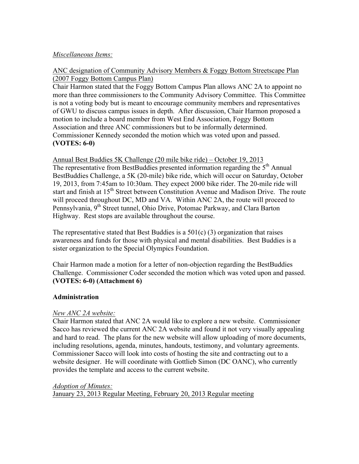#### *Miscellaneous Items:*

#### ANC designation of Community Advisory Members & Foggy Bottom Streetscape Plan (2007 Foggy Bottom Campus Plan)

Chair Harmon stated that the Foggy Bottom Campus Plan allows ANC 2A to appoint no more than three commissioners to the Community Advisory Committee. This Committee is not a voting body but is meant to encourage community members and representatives of GWU to discuss campus issues in depth. After discussion, Chair Harmon proposed a motion to include a board member from West End Association, Foggy Bottom Association and three ANC commissioners but to be informally determined. Commissioner Kennedy seconded the motion which was voted upon and passed. **(VOTES: 6-0)**

#### Annual Best Buddies 5K Challenge (20 mile bike ride) – October 19, 2013 The representative from BestBuddies presented information regarding the  $5<sup>th</sup>$  Annual BestBuddies Challenge, a 5K (20-mile) bike ride, which will occur on Saturday, October 19, 2013, from 7:45am to 10:30am. They expect 2000 bike rider. The 20-mile ride will start and finish at 15<sup>th</sup> Street between Constitution Avenue and Madison Drive. The route will proceed throughout DC, MD and VA. Within ANC 2A, the route will proceed to Pennsylvania, 9<sup>th</sup> Street tunnel, Ohio Drive, Potomac Parkway, and Clara Barton Highway. Rest stops are available throughout the course.

The representative stated that Best Buddies is a  $501(c)$  (3) organization that raises awareness and funds for those with physical and mental disabilities. Best Buddies is a sister organization to the Special Olympics Foundation.

Chair Harmon made a motion for a letter of non-objection regarding the BestBuddies Challenge. Commissioner Coder seconded the motion which was voted upon and passed. **(VOTES: 6-0) (Attachment 6)**

# **Administration**

# *New ANC 2A website:*

Chair Harmon stated that ANC 2A would like to explore a new website. Commissioner Sacco has reviewed the current ANC 2A website and found it not very visually appealing and hard to read. The plans for the new website will allow uploading of more documents, including resolutions, agenda, minutes, handouts, testimony, and voluntary agreements. Commissioner Sacco will look into costs of hosting the site and contracting out to a website designer. He will coordinate with Gottlieb Simon (DC OANC), who currently provides the template and access to the current website.

# *Adoption of Minutes:*  January 23, 2013 Regular Meeting, February 20, 2013 Regular meeting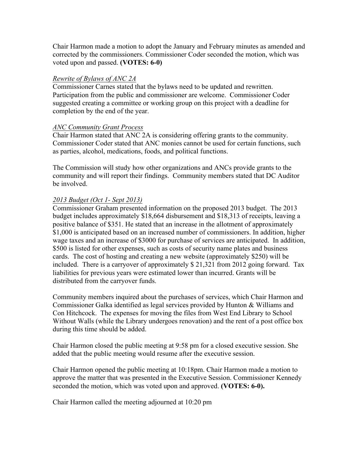Chair Harmon made a motion to adopt the January and February minutes as amended and corrected by the commissioners. Commissioner Coder seconded the motion, which was voted upon and passed. **(VOTES: 6-0)**

#### *Rewrite of Bylaws of ANC 2A*

Commissioner Carnes stated that the bylaws need to be updated and rewritten. Participation from the public and commissioner are welcome. Commissioner Coder suggested creating a committee or working group on this project with a deadline for completion by the end of the year.

#### *ANC Community Grant Process*

Chair Harmon stated that ANC 2A is considering offering grants to the community. Commissioner Coder stated that ANC monies cannot be used for certain functions, such as parties, alcohol, medications, foods, and political functions.

The Commission will study how other organizations and ANCs provide grants to the community and will report their findings. Community members stated that DC Auditor be involved.

# *2013 Budget (Oct 1- Sept 2013)*

Commissioner Graham presented information on the proposed 2013 budget. The 2013 budget includes approximately \$18,664 disbursement and \$18,313 of receipts, leaving a positive balance of \$351. He stated that an increase in the allotment of approximately \$1,000 is anticipated based on an increased number of commissioners. In addition, higher wage taxes and an increase of \$3000 for purchase of services are anticipated. In addition, \$500 is listed for other expenses, such as costs of security name plates and business cards. The cost of hosting and creating a new website (approximately \$250) will be included. There is a carryover of approximately \$ 21,321 from 2012 going forward. Tax liabilities for previous years were estimated lower than incurred. Grants will be distributed from the carryover funds.

Community members inquired about the purchases of services, which Chair Harmon and Commissioner Galka identified as legal services provided by Hunton & Williams and Con Hitchcock. The expenses for moving the files from West End Library to School Without Walls (while the Library undergoes renovation) and the rent of a post office box during this time should be added.

Chair Harmon closed the public meeting at 9:58 pm for a closed executive session. She added that the public meeting would resume after the executive session.

Chair Harmon opened the public meeting at 10:18pm. Chair Harmon made a motion to approve the matter that was presented in the Executive Session. Commissioner Kennedy seconded the motion, which was voted upon and approved. **(VOTES: 6-0).**

Chair Harmon called the meeting adjourned at 10:20 pm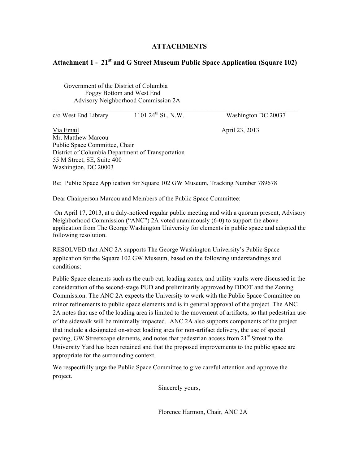#### **ATTACHMENTS**

#### **Attachment 1 - 21st and G Street Museum Public Space Application (Square 102)**

 Government of the District of Columbia Foggy Bottom and West End Advisory Neighborhood Commission 2A

 $\overline{c}/\overline{o}$  West End Library 1101 24<sup>th</sup> St., N.W. Washington DC 20037

Via Email **April 23, 2013** Mr. Matthew Marcou Public Space Committee, Chair District of Columbia Department of Transportation 55 M Street, SE, Suite 400 Washington, DC 20003

Re: Public Space Application for Square 102 GW Museum, Tracking Number 789678

Dear Chairperson Marcou and Members of the Public Space Committee:

On April 17, 2013, at a duly-noticed regular public meeting and with a quorum present, Advisory Neighborhood Commission ("ANC") 2A voted unanimously (6-0) to support the above application from The George Washington University for elements in public space and adopted the following resolution.

RESOLVED that ANC 2A supports The George Washington University's Public Space application for the Square 102 GW Museum, based on the following understandings and conditions:

Public Space elements such as the curb cut, loading zones, and utility vaults were discussed in the consideration of the second-stage PUD and preliminarily approved by DDOT and the Zoning Commission. The ANC 2A expects the University to work with the Public Space Committee on minor refinements to public space elements and is in general approval of the project. The ANC 2A notes that use of the loading area is limited to the movement of artifacts, so that pedestrian use of the sidewalk will be minimally impacted. ANC 2A also supports components of the project that include a designated on-street loading area for non-artifact delivery, the use of special paving, GW Streetscape elements, and notes that pedestrian access from 21<sup>st</sup> Street to the University Yard has been retained and that the proposed improvements to the public space are appropriate for the surrounding context.

We respectfully urge the Public Space Committee to give careful attention and approve the project.

Sincerely yours,

Florence Harmon, Chair, ANC 2A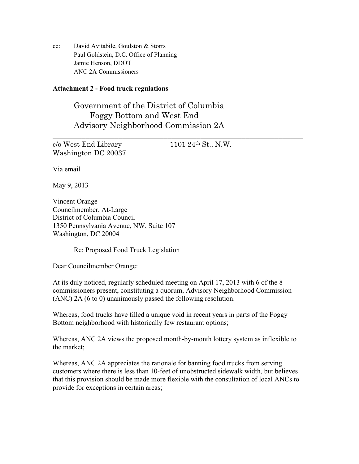cc: David Avitabile, Goulston & Storrs Paul Goldstein, D.C. Office of Planning Jamie Henson, DDOT ANC 2A Commissioners

#### **Attachment 2 - Food truck regulations**

Government of the District of Columbia Foggy Bottom and West End Advisory Neighborhood Commission 2A

 $c/\sigma$  West End Library 1101 24<sup>th</sup> St., N.W. Washington DC 20037

\_\_\_\_\_\_\_\_\_\_\_\_\_\_\_\_\_\_\_\_\_\_\_\_\_\_\_\_\_\_\_\_\_\_\_\_\_\_\_\_\_\_\_\_\_\_\_\_\_\_\_\_\_\_\_\_\_\_\_\_\_

Via email

May 9, 2013

Vincent Orange Councilmember, At-Large District of Columbia Council 1350 Pennsylvania Avenue, NW, Suite 107 Washington, DC 20004

Re: Proposed Food Truck Legislation

Dear Councilmember Orange:

At its duly noticed, regularly scheduled meeting on April 17, 2013 with 6 of the 8 commissioners present, constituting a quorum, Advisory Neighborhood Commission (ANC) 2A (6 to 0) unanimously passed the following resolution.

Whereas, food trucks have filled a unique void in recent years in parts of the Foggy Bottom neighborhood with historically few restaurant options;

Whereas, ANC 2A views the proposed month-by-month lottery system as inflexible to the market;

Whereas, ANC 2A appreciates the rationale for banning food trucks from serving customers where there is less than 10-feet of unobstructed sidewalk width, but believes that this provision should be made more flexible with the consultation of local ANCs to provide for exceptions in certain areas;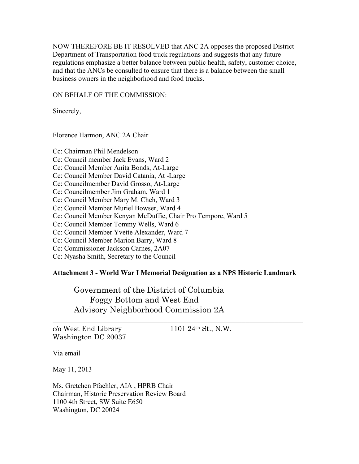NOW THEREFORE BE IT RESOLVED that ANC 2A opposes the proposed District Department of Transportation food truck regulations and suggests that any future regulations emphasize a better balance between public health, safety, customer choice, and that the ANCs be consulted to ensure that there is a balance between the small business owners in the neighborhood and food trucks.

ON BEHALF OF THE COMMISSION:

Sincerely,

Florence Harmon, ANC 2A Chair

Cc: Chairman Phil Mendelson Cc: Council member Jack Evans, Ward 2 Cc: Council Member Anita Bonds, At-Large Cc: Council Member David Catania, At -Large Cc: Councilmember David Grosso, At-Large Cc: Councilmember Jim Graham, Ward 1 Cc: Council Member Mary M. Cheh, Ward 3 Cc: Council Member Muriel Bowser, Ward 4 Cc: Council Member Kenyan McDuffie, Chair Pro Tempore, Ward 5 Cc: Council Member Tommy Wells, Ward 6 Cc: Council Member Yvette Alexander, Ward 7 Cc: Council Member Marion Barry, Ward 8 Cc: Commissioner Jackson Carnes, 2A07 Cc: Nyasha Smith, Secretary to the Council

#### **Attachment 3 - World War I Memorial Designation as a NPS Historic Landmark**

\_\_\_\_\_\_\_\_\_\_\_\_\_\_\_\_\_\_\_\_\_\_\_\_\_\_\_\_\_\_\_\_\_\_\_\_\_\_\_\_\_\_\_\_\_\_\_\_\_\_\_\_\_\_\_\_\_\_\_\_\_

Government of the District of Columbia Foggy Bottom and West End Advisory Neighborhood Commission 2A

 $c/\sigma$  West End Library 1101 24<sup>th</sup> St., N.W. Washington DC 20037

Via email

May 11, 2013

Ms. Gretchen Pfaehler, AIA , HPRB Chair Chairman, Historic Preservation Review Board 1100 4th Street, SW Suite E650 Washington, DC 20024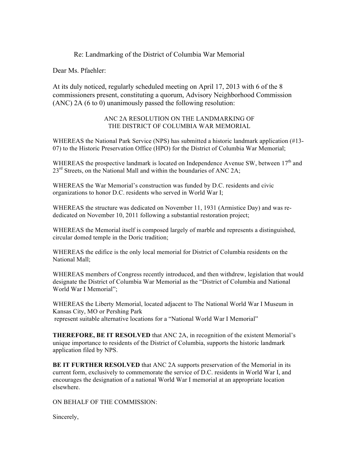#### Re: Landmarking of the District of Columbia War Memorial

Dear Ms. Pfaehler:

At its duly noticed, regularly scheduled meeting on April 17, 2013 with 6 of the 8 commissioners present, constituting a quorum, Advisory Neighborhood Commission (ANC) 2A (6 to 0) unanimously passed the following resolution:

#### ANC 2A RESOLUTION ON THE LANDMARKING OF THE DISTRICT OF COLUMBIA WAR MEMORIAL

WHEREAS the National Park Service (NPS) has submitted a historic landmark application (#13- 07) to the Historic Preservation Office (HPO) for the District of Columbia War Memorial;

WHEREAS the prospective landmark is located on Independence Avenue SW, between  $17<sup>th</sup>$  and  $23<sup>rd</sup>$  Streets, on the National Mall and within the boundaries of ANC 2A;

WHEREAS the War Memorial's construction was funded by D.C. residents and civic organizations to honor D.C. residents who served in World War I;

WHEREAS the structure was dedicated on November 11, 1931 (Armistice Day) and was rededicated on November 10, 2011 following a substantial restoration project;

WHEREAS the Memorial itself is composed largely of marble and represents a distinguished, circular domed temple in the Doric tradition;

WHEREAS the edifice is the only local memorial for District of Columbia residents on the National Mall;

WHEREAS members of Congress recently introduced, and then withdrew, legislation that would designate the District of Columbia War Memorial as the "District of Columbia and National World War I Memorial";

WHEREAS the Liberty Memorial, located adjacent to The National World War I Museum in Kansas City, MO or Pershing Park represent suitable alternative locations for a "National World War I Memorial"

**THEREFORE, BE IT RESOLVED** that ANC 2A, in recognition of the existent Memorial's unique importance to residents of the District of Columbia, supports the historic landmark application filed by NPS.

**BE IT FURTHER RESOLVED** that ANC 2A supports preservation of the Memorial in its current form, exclusively to commemorate the service of D.C. residents in World War I, and encourages the designation of a national World War I memorial at an appropriate location elsewhere.

ON BEHALF OF THE COMMISSION:

Sincerely,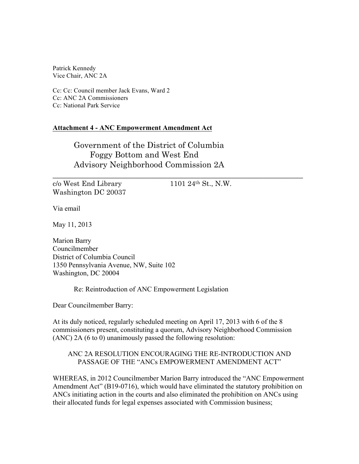Patrick Kennedy Vice Chair, ANC 2A

Cc: Cc: Council member Jack Evans, Ward 2 Cc: ANC 2A Commissioners Cc: National Park Service

#### **Attachment 4 - ANC Empowerment Amendment Act**

Government of the District of Columbia Foggy Bottom and West End Advisory Neighborhood Commission 2A

 $c/\sigma$  West End Library 1101 24<sup>th</sup> St., N.W. Washington DC 20037

\_\_\_\_\_\_\_\_\_\_\_\_\_\_\_\_\_\_\_\_\_\_\_\_\_\_\_\_\_\_\_\_\_\_\_\_\_\_\_\_\_\_\_\_\_\_\_\_\_\_\_\_\_\_\_\_\_\_\_\_\_

Via email

May 11, 2013

Marion Barry Councilmember District of Columbia Council 1350 Pennsylvania Avenue, NW, Suite 102 Washington, DC 20004

Re: Reintroduction of ANC Empowerment Legislation

Dear Councilmember Barry:

At its duly noticed, regularly scheduled meeting on April 17, 2013 with 6 of the 8 commissioners present, constituting a quorum, Advisory Neighborhood Commission (ANC) 2A (6 to 0) unanimously passed the following resolution:

#### ANC 2A RESOLUTION ENCOURAGING THE RE-INTRODUCTION AND PASSAGE OF THE "ANCs EMPOWERMENT AMENDMENT ACT"

WHEREAS, in 2012 Councilmember Marion Barry introduced the "ANC Empowerment Amendment Act" (B19-0716), which would have eliminated the statutory prohibition on ANCs initiating action in the courts and also eliminated the prohibition on ANCs using their allocated funds for legal expenses associated with Commission business;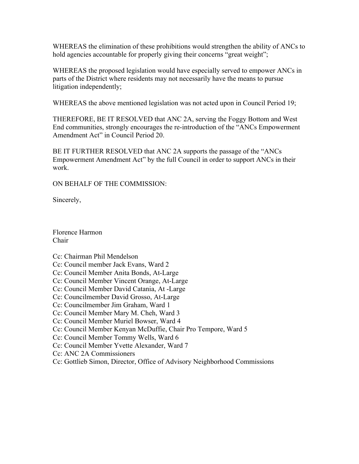WHEREAS the elimination of these prohibitions would strengthen the ability of ANCs to hold agencies accountable for properly giving their concerns "great weight";

WHEREAS the proposed legislation would have especially served to empower ANCs in parts of the District where residents may not necessarily have the means to pursue litigation independently;

WHEREAS the above mentioned legislation was not acted upon in Council Period 19;

THEREFORE, BE IT RESOLVED that ANC 2A, serving the Foggy Bottom and West End communities, strongly encourages the re-introduction of the "ANCs Empowerment Amendment Act" in Council Period 20.

BE IT FURTHER RESOLVED that ANC 2A supports the passage of the "ANCs Empowerment Amendment Act" by the full Council in order to support ANCs in their work.

ON BEHALF OF THE COMMISSION:

Sincerely,

Florence Harmon Chair

Cc: Chairman Phil Mendelson

Cc: Council member Jack Evans, Ward 2

Cc: Council Member Anita Bonds, At-Large

Cc: Council Member Vincent Orange, At-Large

Cc: Council Member David Catania, At -Large

Cc: Councilmember David Grosso, At-Large

Cc: Councilmember Jim Graham, Ward 1

Cc: Council Member Mary M. Cheh, Ward 3

Cc: Council Member Muriel Bowser, Ward 4

Cc: Council Member Kenyan McDuffie, Chair Pro Tempore, Ward 5

Cc: Council Member Tommy Wells, Ward 6

Cc: Council Member Yvette Alexander, Ward 7

Cc: ANC 2A Commissioners

Cc: Gottlieb Simon, Director, Office of Advisory Neighborhood Commissions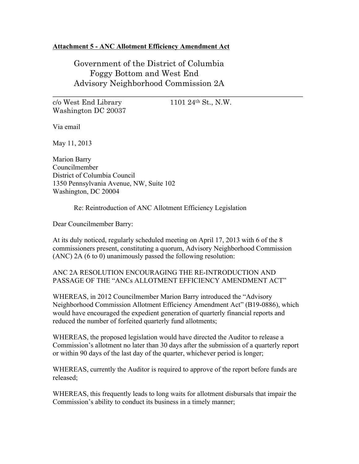#### **Attachment 5 - ANC Allotment Efficiency Amendment Act**

Government of the District of Columbia Foggy Bottom and West End Advisory Neighborhood Commission 2A

 $c/\sigma$  West End Library 1101 24<sup>th</sup> St., N.W. Washington DC 20037

\_\_\_\_\_\_\_\_\_\_\_\_\_\_\_\_\_\_\_\_\_\_\_\_\_\_\_\_\_\_\_\_\_\_\_\_\_\_\_\_\_\_\_\_\_\_\_\_\_\_\_\_\_\_\_\_\_\_\_\_\_

Via email

May 11, 2013

Marion Barry Councilmember District of Columbia Council 1350 Pennsylvania Avenue, NW, Suite 102 Washington, DC 20004

Re: Reintroduction of ANC Allotment Efficiency Legislation

Dear Councilmember Barry:

At its duly noticed, regularly scheduled meeting on April 17, 2013 with 6 of the 8 commissioners present, constituting a quorum, Advisory Neighborhood Commission (ANC) 2A (6 to 0) unanimously passed the following resolution:

ANC 2A RESOLUTION ENCOURAGING THE RE-INTRODUCTION AND PASSAGE OF THE "ANCs ALLOTMENT EFFICIENCY AMENDMENT ACT"

WHEREAS, in 2012 Councilmember Marion Barry introduced the "Advisory Neighborhood Commission Allotment Efficiency Amendment Act" (B19-0886), which would have encouraged the expedient generation of quarterly financial reports and reduced the number of forfeited quarterly fund allotments;

WHEREAS, the proposed legislation would have directed the Auditor to release a Commission's allotment no later than 30 days after the submission of a quarterly report or within 90 days of the last day of the quarter, whichever period is longer;

WHEREAS, currently the Auditor is required to approve of the report before funds are released;

WHEREAS, this frequently leads to long waits for allotment disbursals that impair the Commission's ability to conduct its business in a timely manner;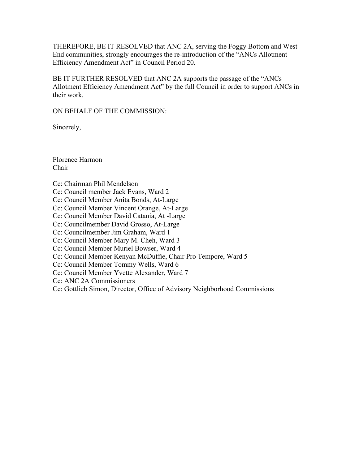THEREFORE, BE IT RESOLVED that ANC 2A, serving the Foggy Bottom and West End communities, strongly encourages the re-introduction of the "ANCs Allotment Efficiency Amendment Act" in Council Period 20.

BE IT FURTHER RESOLVED that ANC 2A supports the passage of the "ANCs Allotment Efficiency Amendment Act" by the full Council in order to support ANCs in their work.

ON BEHALF OF THE COMMISSION:

Sincerely,

Florence Harmon Chair

Cc: Chairman Phil Mendelson

Cc: Council member Jack Evans, Ward 2

Cc: Council Member Anita Bonds, At-Large

Cc: Council Member Vincent Orange, At-Large

Cc: Council Member David Catania, At -Large

Cc: Councilmember David Grosso, At-Large

Cc: Councilmember Jim Graham, Ward 1

Cc: Council Member Mary M. Cheh, Ward 3

Cc: Council Member Muriel Bowser, Ward 4

Cc: Council Member Kenyan McDuffie, Chair Pro Tempore, Ward 5

Cc: Council Member Tommy Wells, Ward 6

Cc: Council Member Yvette Alexander, Ward 7

Cc: ANC 2A Commissioners

Cc: Gottlieb Simon, Director, Office of Advisory Neighborhood Commissions